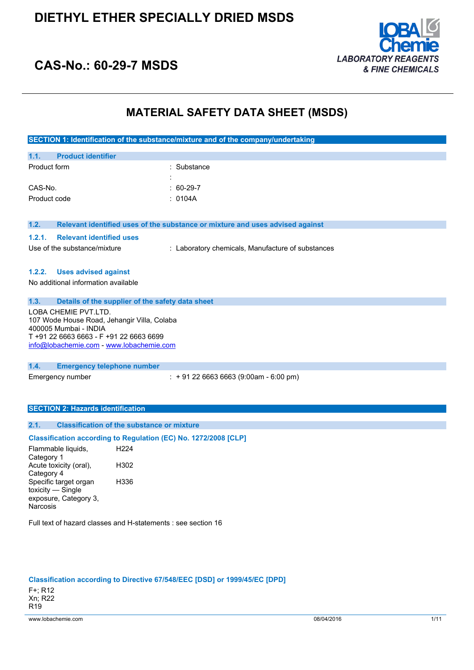

### **CAS-No.: 60-29-7 MSDS**

### **MATERIAL SAFETY DATA SHEET (MSDS)**

|                                                                      | SECTION 1: Identification of the substance/mixture and of the company/undertaking |
|----------------------------------------------------------------------|-----------------------------------------------------------------------------------|
| <b>Product identifier</b><br>1.1.                                    |                                                                                   |
| Product form                                                         | Substance                                                                         |
| CAS-No.                                                              | 60-29-7                                                                           |
| Product code                                                         | : 0104A                                                                           |
|                                                                      |                                                                                   |
| 1.2.                                                                 | Relevant identified uses of the substance or mixture and uses advised against     |
| <b>Relevant identified uses</b><br>1.2.1.                            |                                                                                   |
| Use of the substance/mixture                                         | : Laboratory chemicals, Manufacture of substances                                 |
|                                                                      |                                                                                   |
| <b>Uses advised against</b><br>1.2.2.                                |                                                                                   |
| No additional information available                                  |                                                                                   |
|                                                                      |                                                                                   |
| 1.3.<br>Details of the supplier of the safety data sheet             |                                                                                   |
| LOBA CHEMIE PVT.LTD.                                                 |                                                                                   |
| 107 Wode House Road, Jehangir Villa, Colaba<br>400005 Mumbai - INDIA |                                                                                   |
| T +91 22 6663 6663 - F +91 22 6663 6699                              |                                                                                   |
| info@lobachemie.com - www.lobachemie.com                             |                                                                                   |
|                                                                      |                                                                                   |
| 1.4.<br><b>Emergency telephone number</b>                            |                                                                                   |
| Emergency number                                                     | $: +912266636663(9:00am - 6:00 pm)$                                               |
|                                                                      |                                                                                   |
|                                                                      |                                                                                   |
| <b>SECTION 2: Hazards identification</b>                             |                                                                                   |
| <b>Classification of the substance or mixture</b><br>2.1.            |                                                                                   |
| Classification according to Regulation (EC) No. 1272/2008 [CLP]      |                                                                                   |

Flammable liquids, Category 1 H224 Acute toxicity (oral), Category 4 H302 Specific target organ toxicity — Single exposure, Category 3, Narcosis H336

Full text of hazard classes and H-statements : see section 16

#### **Classification according to Directive 67/548/EEC [DSD] or 1999/45/EC [DPD]**

F+; R12 Xn; R22 R19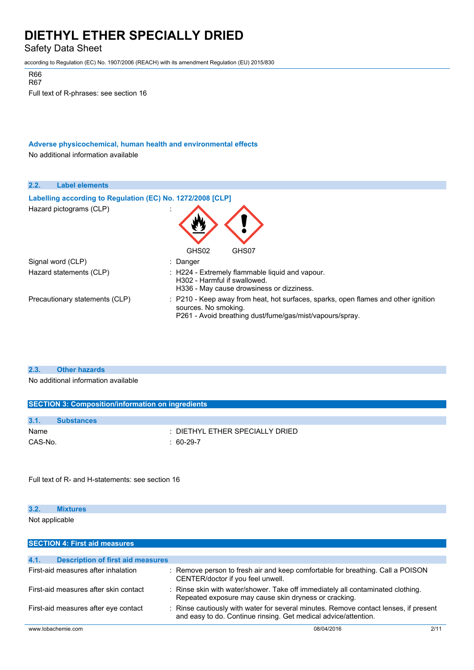Safety Data Sheet

according to Regulation (EC) No. 1907/2006 (REACH) with its amendment Regulation (EU) 2015/830

R67

Full text of R-phrases: see section 16

**Adverse physicochemical, human health and environmental effects**

No additional information available

| 2.2. | <b>Label elements</b>                                      |                                                                                                                                                                        |
|------|------------------------------------------------------------|------------------------------------------------------------------------------------------------------------------------------------------------------------------------|
|      | Labelling according to Regulation (EC) No. 1272/2008 [CLP] |                                                                                                                                                                        |
|      | Hazard pictograms (CLP)                                    | GHS02<br>GHS07                                                                                                                                                         |
|      | Signal word (CLP)                                          | : Danger                                                                                                                                                               |
|      | Hazard statements (CLP)                                    | : H224 - Extremely flammable liquid and vapour.<br>H302 - Harmful if swallowed.<br>H336 - May cause drowsiness or dizziness.                                           |
|      | Precautionary statements (CLP)                             | : P210 - Keep away from heat, hot surfaces, sparks, open flames and other ignition<br>sources. No smoking.<br>P261 - Avoid breathing dust/fume/gas/mist/vapours/spray. |

#### **2.3. Other hazards**

No additional information available

|         | <b>SECTION 3: Composition/information on ingredients</b> |                                     |  |
|---------|----------------------------------------------------------|-------------------------------------|--|
|         |                                                          |                                     |  |
| 3.1.    | <b>Substances</b>                                        |                                     |  |
| Name    |                                                          | $\pm$ DIETHYL ETHER SPECIALLY DRIED |  |
| CAS-No. |                                                          | $: 60-29-7$                         |  |

Full text of R- and H-statements: see section 16

#### **3.2. Mixtures** Not applicable

| <b>SECTION 4: First aid measures</b>             |                                                                                                                                                         |      |
|--------------------------------------------------|---------------------------------------------------------------------------------------------------------------------------------------------------------|------|
|                                                  |                                                                                                                                                         |      |
| 4.1.<br><b>Description of first aid measures</b> |                                                                                                                                                         |      |
| First-aid measures after inhalation              | : Remove person to fresh air and keep comfortable for breathing. Call a POISON<br>CENTER/doctor if you feel unwell.                                     |      |
| First-aid measures after skin contact            | : Rinse skin with water/shower. Take off immediately all contaminated clothing.<br>Repeated exposure may cause skin dryness or cracking.                |      |
| First-aid measures after eye contact             | : Rinse cautiously with water for several minutes. Remove contact lenses, if present<br>and easy to do. Continue rinsing. Get medical advice/attention. |      |
| www.lobachemie.com                               | 08/04/2016                                                                                                                                              | 2/11 |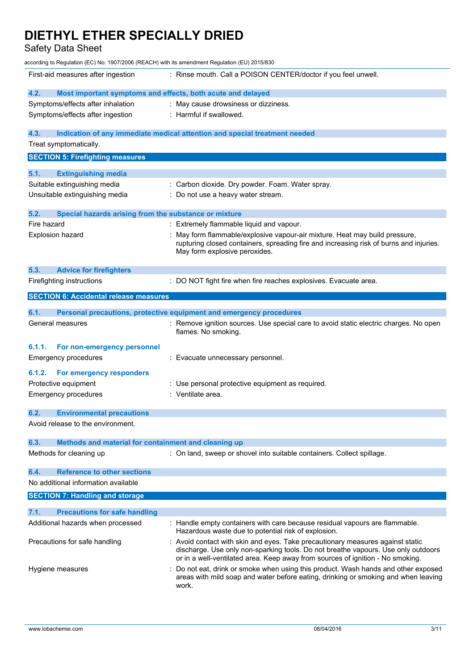Safety Data Sheet

| according to Regulation (EC) No. 1907/2006 (REACH) with its amendment Regulation (EU) 2015/830 |                                                                                                                                                                                                                                                       |
|------------------------------------------------------------------------------------------------|-------------------------------------------------------------------------------------------------------------------------------------------------------------------------------------------------------------------------------------------------------|
| First-aid measures after ingestion                                                             | : Rinse mouth. Call a POISON CENTER/doctor if you feel unwell.                                                                                                                                                                                        |
| 4.2.<br>Most important symptoms and effects, both acute and delayed                            |                                                                                                                                                                                                                                                       |
| Symptoms/effects after inhalation                                                              | : May cause drowsiness or dizziness.                                                                                                                                                                                                                  |
| Symptoms/effects after ingestion                                                               | : Harmful if swallowed.                                                                                                                                                                                                                               |
| 4.3.                                                                                           | Indication of any immediate medical attention and special treatment needed                                                                                                                                                                            |
| Treat symptomatically.                                                                         |                                                                                                                                                                                                                                                       |
| <b>SECTION 5: Firefighting measures</b>                                                        |                                                                                                                                                                                                                                                       |
| <b>Extinguishing media</b><br>5.1.                                                             |                                                                                                                                                                                                                                                       |
| Suitable extinguishing media                                                                   | : Carbon dioxide. Dry powder. Foam. Water spray.                                                                                                                                                                                                      |
| Unsuitable extinguishing media                                                                 | : Do not use a heavy water stream.                                                                                                                                                                                                                    |
| Special hazards arising from the substance or mixture<br>5.2.                                  |                                                                                                                                                                                                                                                       |
| Fire hazard                                                                                    | : Extremely flammable liquid and vapour.                                                                                                                                                                                                              |
| Explosion hazard                                                                               | May form flammable/explosive vapour-air mixture. Heat may build pressure,<br>rupturing closed containers, spreading fire and increasing risk of burns and injuries.<br>May form explosive peroxides.                                                  |
| 5.3.<br><b>Advice for firefighters</b>                                                         |                                                                                                                                                                                                                                                       |
| Firefighting instructions                                                                      | : DO NOT fight fire when fire reaches explosives. Evacuate area.                                                                                                                                                                                      |
| <b>SECTION 6: Accidental release measures</b>                                                  |                                                                                                                                                                                                                                                       |
| 6.1.                                                                                           | Personal precautions, protective equipment and emergency procedures                                                                                                                                                                                   |
| General measures                                                                               | : Remove ignition sources. Use special care to avoid static electric charges. No open<br>flames. No smoking.                                                                                                                                          |
| 6.1.1.<br>For non-emergency personnel                                                          |                                                                                                                                                                                                                                                       |
| Emergency procedures                                                                           | : Evacuate unnecessary personnel.                                                                                                                                                                                                                     |
| 6.1.2.<br>For emergency responders                                                             |                                                                                                                                                                                                                                                       |
| Protective equipment                                                                           | : Use personal protective equipment as required.                                                                                                                                                                                                      |
| Emergency procedures                                                                           | : Ventilate area.                                                                                                                                                                                                                                     |
|                                                                                                |                                                                                                                                                                                                                                                       |
| 6.2<br><b>Environmental precautions</b>                                                        |                                                                                                                                                                                                                                                       |
| Avoid release to the environment.                                                              |                                                                                                                                                                                                                                                       |
| Methods and material for containment and cleaning up<br>6.3.                                   |                                                                                                                                                                                                                                                       |
| Methods for cleaning up                                                                        | : On land, sweep or shovel into suitable containers. Collect spillage.                                                                                                                                                                                |
| <b>Reference to other sections</b><br>6.4.                                                     |                                                                                                                                                                                                                                                       |
| No additional information available                                                            |                                                                                                                                                                                                                                                       |
| <b>SECTION 7: Handling and storage</b>                                                         |                                                                                                                                                                                                                                                       |
| 7.1.<br><b>Precautions for safe handling</b>                                                   |                                                                                                                                                                                                                                                       |
| Additional hazards when processed                                                              | : Handle empty containers with care because residual vapours are flammable.<br>Hazardous waste due to potential risk of explosion.                                                                                                                    |
| Precautions for safe handling                                                                  | : Avoid contact with skin and eyes. Take precautionary measures against static<br>discharge. Use only non-sparking tools. Do not breathe vapours. Use only outdoors<br>or in a well-ventilated area. Keep away from sources of ignition - No smoking. |
| Hygiene measures                                                                               | Do not eat, drink or smoke when using this product. Wash hands and other exposed<br>areas with mild soap and water before eating, drinking or smoking and when leaving<br>work.                                                                       |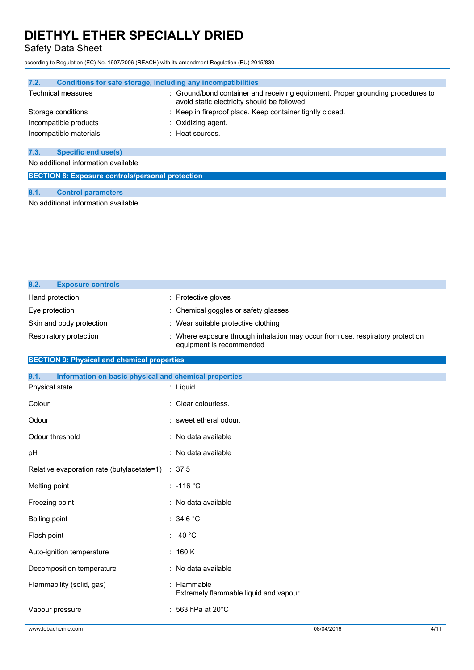Safety Data Sheet

according to Regulation (EC) No. 1907/2006 (REACH) with its amendment Regulation (EU) 2015/830

| Conditions for safe storage, including any incompatibilities<br>7.2. |                                                                                                                                 |
|----------------------------------------------------------------------|---------------------------------------------------------------------------------------------------------------------------------|
| Technical measures                                                   | : Ground/bond container and receiving equipment. Proper grounding procedures to<br>avoid static electricity should be followed. |
| Storage conditions                                                   | : Keep in fireproof place. Keep container tightly closed.                                                                       |
| Incompatible products                                                | $\therefore$ Oxidizing agent.                                                                                                   |
| Incompatible materials                                               | : Heat sources.                                                                                                                 |
|                                                                      |                                                                                                                                 |
| <b>Specific end use(s)</b><br>7.3.                                   |                                                                                                                                 |
| No additional information available                                  |                                                                                                                                 |
| <b>SECTION 8: Exposure controls/personal protection</b>              |                                                                                                                                 |
|                                                                      |                                                                                                                                 |
| 8.1.<br><b>Control parameters</b>                                    |                                                                                                                                 |
| No additional information available                                  |                                                                                                                                 |

| 8.2. | <b>Exposure controls</b> |                                                                                                            |
|------|--------------------------|------------------------------------------------------------------------------------------------------------|
|      | Hand protection          | : Protective gloves                                                                                        |
|      | Eye protection           | : Chemical goggles or safety glasses                                                                       |
|      | Skin and body protection | : Wear suitable protective clothing                                                                        |
|      | Respiratory protection   | : Where exposure through inhalation may occur from use, respiratory protection<br>equipment is recommended |

### **SECTION 9: Physical and chemical properties**

| 9.1.<br>Information on basic physical and chemical properties |                                                       |
|---------------------------------------------------------------|-------------------------------------------------------|
| Physical state                                                | : Liquid                                              |
| Colour                                                        | : Clear colourless.                                   |
| Odour                                                         | : sweet etheral odour.                                |
| Odour threshold                                               | : No data available                                   |
| pH                                                            | : No data available                                   |
| Relative evaporation rate (butylacetate=1)                    | $\therefore$ 37.5                                     |
| Melting point                                                 | $: -116 °C$                                           |
| Freezing point                                                | : No data available                                   |
| Boiling point                                                 | : $34.6 °C$                                           |
| Flash point                                                   | $\therefore$ -40 °C                                   |
| Auto-ignition temperature                                     | : 160 K                                               |
| Decomposition temperature                                     | : No data available                                   |
| Flammability (solid, gas)                                     | : Flammable<br>Extremely flammable liquid and vapour. |
| Vapour pressure                                               | : 563 hPa at 20 $^{\circ}$ C                          |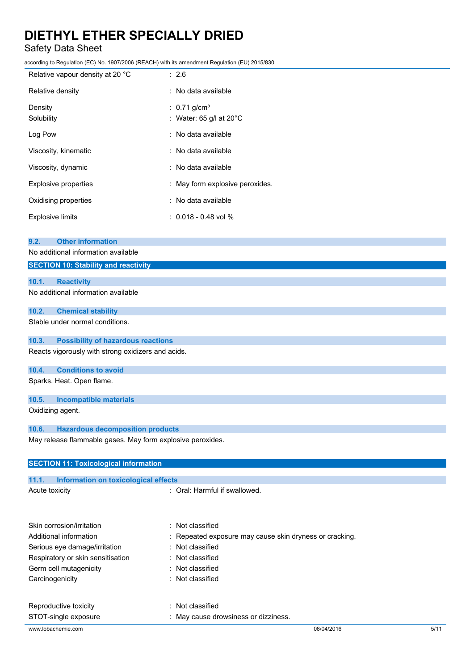Safety Data Sheet

according to Regulation (EC) No. 1907/2006 (REACH) with its amendment Regulation (EU) 2015/830

| Relative vapour density at 20 °C | : 2.6                                                            |
|----------------------------------|------------------------------------------------------------------|
| Relative density                 | : No data available                                              |
| Density<br>Solubility            | : $0.71$ g/cm <sup>3</sup><br>: Water: 65 g/l at 20 $^{\circ}$ C |
| Log Pow                          | : No data available                                              |
| Viscosity, kinematic             | : No data available                                              |
| Viscosity, dynamic               | : No data available                                              |
| Explosive properties             | : May form explosive peroxides.                                  |
| Oxidising properties             | : No data available                                              |
| <b>Explosive limits</b>          | $: 0.018 - 0.48$ vol %                                           |
|                                  |                                                                  |

#### **9.2. Other information**

No additional information available

### **SECTION 10: Stability and reactivity**

#### **10.1. Reactivity**

No additional information available

#### **10.2. Chemical stability**

Stable under normal conditions.

#### **10.3. Possibility of hazardous reactions**

Reacts vigorously with strong oxidizers and acids.

#### **10.4. Conditions to avoid**

Sparks. Heat. Open flame.

#### **10.5. Incompatible materials**

Oxidizing agent.

#### **10.6. Hazardous decomposition products**

May release flammable gases. May form explosive peroxides.

| <b>SECTION 11: Toxicological information</b>  |                                                         |      |
|-----------------------------------------------|---------------------------------------------------------|------|
|                                               |                                                         |      |
| 11.1.<br>Information on toxicological effects |                                                         |      |
| Acute toxicity                                | : Oral: Harmful if swallowed.                           |      |
|                                               |                                                         |      |
| Skin corrosion/irritation                     | Not classified                                          |      |
| Additional information                        | : Repeated exposure may cause skin dryness or cracking. |      |
| Serious eye damage/irritation                 | $:$ Not classified                                      |      |
| Respiratory or skin sensitisation             | : Not classified                                        |      |
| Germ cell mutagenicity                        | : Not classified                                        |      |
| Carcinogenicity                               | : Not classified                                        |      |
| Reproductive toxicity                         | $:$ Not classified                                      |      |
| STOT-single exposure                          | May cause drowsiness or dizziness.                      |      |
| www.lobachemie.com                            | 08/04/2016                                              | 5/11 |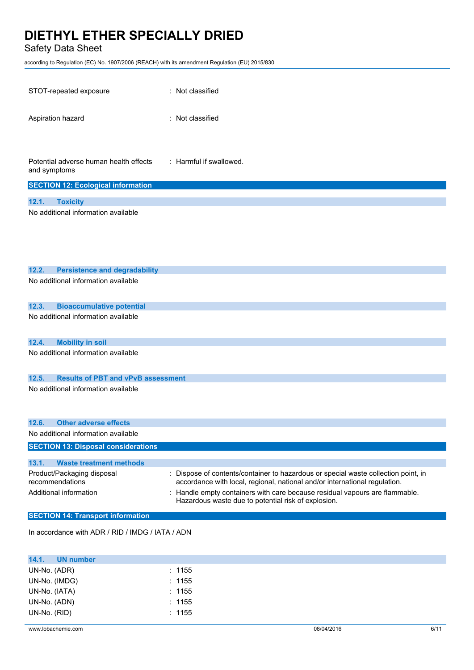Safety Data Sheet

according to Regulation (EC) No. 1907/2006 (REACH) with its amendment Regulation (EU) 2015/830

| STOT-repeated exposure                                                  | : Not classified                                                                                                                                                                                                                                                                                   |
|-------------------------------------------------------------------------|----------------------------------------------------------------------------------------------------------------------------------------------------------------------------------------------------------------------------------------------------------------------------------------------------|
| Aspiration hazard                                                       | : Not classified                                                                                                                                                                                                                                                                                   |
| Potential adverse human health effects<br>and symptoms                  | : Harmful if swallowed.                                                                                                                                                                                                                                                                            |
| <b>SECTION 12: Ecological information</b>                               |                                                                                                                                                                                                                                                                                                    |
| 12.1.<br><b>Toxicity</b><br>No additional information available         |                                                                                                                                                                                                                                                                                                    |
| 12.2.<br><b>Persistence and degradability</b>                           |                                                                                                                                                                                                                                                                                                    |
| No additional information available                                     |                                                                                                                                                                                                                                                                                                    |
| <b>Bioaccumulative potential</b><br>12.3.                               |                                                                                                                                                                                                                                                                                                    |
| No additional information available                                     |                                                                                                                                                                                                                                                                                                    |
| 12.4.<br><b>Mobility in soil</b>                                        |                                                                                                                                                                                                                                                                                                    |
| No additional information available                                     |                                                                                                                                                                                                                                                                                                    |
| 12.5.<br><b>Results of PBT and vPvB assessment</b>                      |                                                                                                                                                                                                                                                                                                    |
| No additional information available                                     |                                                                                                                                                                                                                                                                                                    |
| <b>Other adverse effects</b><br>12.6.                                   |                                                                                                                                                                                                                                                                                                    |
| No additional information available                                     |                                                                                                                                                                                                                                                                                                    |
| <b>SECTION 13: Disposal considerations</b>                              |                                                                                                                                                                                                                                                                                                    |
| 13.1.<br><b>Waste treatment methods</b>                                 |                                                                                                                                                                                                                                                                                                    |
| Product/Packaging disposal<br>recommendations<br>Additional information | Dispose of contents/container to hazardous or special waste collection point, in<br>accordance with local, regional, national and/or international regulation.<br>Handle empty containers with care because residual vapours are flammable.<br>Hazardous waste due to potential risk of explosion. |
| <b>SECTION 14: Transport information</b>                                |                                                                                                                                                                                                                                                                                                    |
| In accordance with ADR / RID / IMDG / IATA / ADN                        |                                                                                                                                                                                                                                                                                                    |

| 14.1.<br>UN number |        |  |
|--------------------|--------|--|
| UN-No. (ADR)       | : 1155 |  |
| UN-No. (IMDG)      | : 1155 |  |
| UN-No. (IATA)      | : 1155 |  |
| UN-No. (ADN)       | : 1155 |  |
| UN-No. (RID)       | : 1155 |  |
|                    |        |  |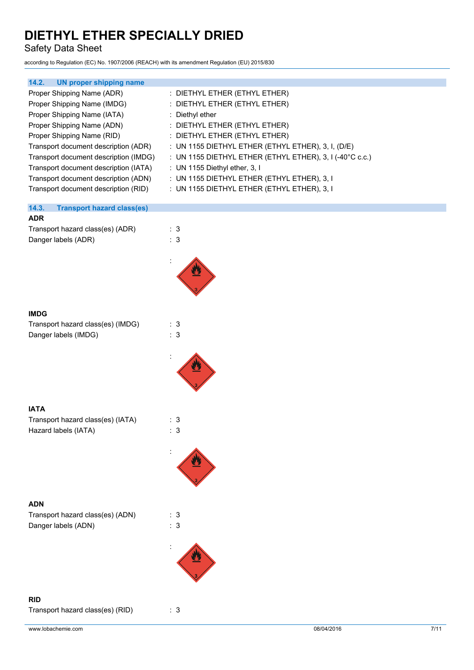Safety Data Sheet

according to Regulation (EC) No. 1907/2006 (REACH) with its amendment Regulation (EU) 2015/830

| <b>UN proper shipping name</b><br>14.2.    |                                                          |
|--------------------------------------------|----------------------------------------------------------|
| Proper Shipping Name (ADR)                 | : DIETHYL ETHER (ETHYL ETHER)                            |
| Proper Shipping Name (IMDG)                | : DIETHYL ETHER (ETHYL ETHER)                            |
| Proper Shipping Name (IATA)                | : Diethyl ether                                          |
| Proper Shipping Name (ADN)                 | : DIETHYL ETHER (ETHYL ETHER)                            |
| Proper Shipping Name (RID)                 | : DIETHYL ETHER (ETHYL ETHER)                            |
| Transport document description (ADR)       | : UN 1155 DIETHYL ETHER (ETHYL ETHER), 3, I, (D/E)       |
| Transport document description (IMDG)      | : UN 1155 DIETHYL ETHER (ETHYL ETHER), 3, I (-40°C c.c.) |
| Transport document description (IATA)      | : UN 1155 Diethyl ether, 3, I                            |
| Transport document description (ADN)       | : UN 1155 DIETHYL ETHER (ETHYL ETHER), 3, I              |
| Transport document description (RID)       | : UN 1155 DIETHYL ETHER (ETHYL ETHER), 3, I              |
| 14.3.<br><b>Transport hazard class(es)</b> |                                                          |
| <b>ADR</b>                                 |                                                          |
| Transport hazard class(es) (ADR)           | : 3                                                      |
| Danger labels (ADR)                        | : 3                                                      |
|                                            |                                                          |
|                                            |                                                          |
| <b>IMDG</b>                                |                                                          |
| Transport hazard class(es) (IMDG)          | : 3                                                      |
| Danger labels (IMDG)                       | : 3                                                      |
|                                            |                                                          |
|                                            |                                                          |
| <b>IATA</b>                                |                                                          |
| Transport hazard class(es) (IATA)          | : 3                                                      |

Hazard labels (IATA) **: 3** 

### **ADN**

Transport hazard class(es) (ADN) : 3 Danger labels (ADN) : 3

:



**RID**

Transport hazard class(es) (RID) : 3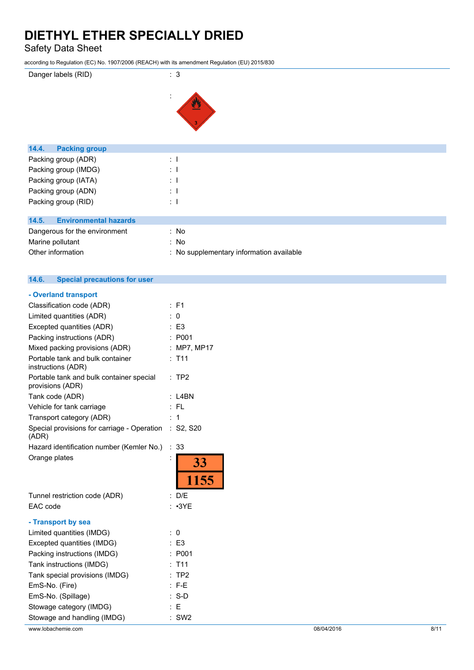Safety Data Sheet

according to Regulation (EC) No. 1907/2006 (REACH) with its amendment Regulation (EU) 2015/830





| <b>Packing group</b><br>14.4.         |                                          |
|---------------------------------------|------------------------------------------|
| Packing group (ADR)                   | $\mathbb{R}^{\mathbb{Z}}$                |
| Packing group (IMDG)                  | $\therefore$ 1                           |
| Packing group (IATA)                  | $\pm$ 1                                  |
| Packing group (ADN)                   | $\therefore$ 1                           |
| Packing group (RID)                   | $\therefore$ 1                           |
|                                       |                                          |
| <b>Environmental hazards</b><br>14.5. |                                          |
| Dangerous for the environment         | : No                                     |
| Marine pollutant                      | : No                                     |
| Other information                     | : No supplementary information available |

#### $14.6.$ **14.6. Special precautions for user**

| - Overland transport                                         |   |                 |
|--------------------------------------------------------------|---|-----------------|
| Classification code (ADR)                                    |   | $:$ F1          |
| Limited quantities (ADR)                                     |   | 0               |
| Excepted quantities (ADR)                                    |   | $\mathsf{E}3$   |
| Packing instructions (ADR)                                   |   | : P001          |
| Mixed packing provisions (ADR)                               |   | MP7, MP17       |
| Portable tank and bulk container<br>instructions (ADR)       |   | T <sub>11</sub> |
| Portable tank and bulk container special<br>provisions (ADR) |   | $:$ TP2         |
| Tank code (ADR)                                              |   | L4BN            |
| Vehicle for tank carriage                                    |   | $:$ FL          |
| Transport category (ADR)                                     |   | 1               |
| Special provisions for carriage - Operation<br>(ADR)         |   | $:$ S2, S20     |
| Hazard identification number (Kemler No.)                    | ÷ | 33              |
|                                                              |   |                 |
| Orange plates                                                |   | <b>33</b>       |
|                                                              |   | 1155            |
| Tunnel restriction code (ADR)                                |   | $:$ D/E         |
| EAC code                                                     |   | $: \cdot$ 3YE   |
| - Transport by sea                                           |   |                 |
| Limited quantities (IMDG)                                    |   | 0               |
| Excepted quantities (IMDG)                                   |   | : E3            |
| Packing instructions (IMDG)                                  | t | P001            |
| Tank instructions (IMDG)                                     |   | T <sub>11</sub> |
| Tank special provisions (IMDG)                               |   | TP <sub>2</sub> |
| EmS-No. (Fire)                                               |   | $F-E$           |
| EmS-No. (Spillage)                                           |   | $S-D$           |
| Stowage category (IMDG)                                      |   | Е               |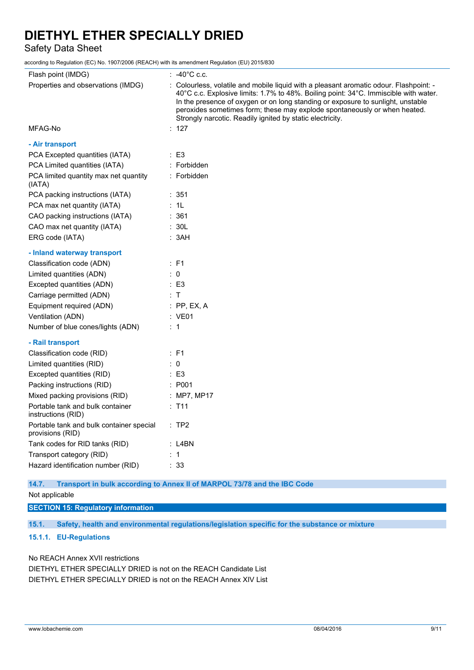Safety Data Sheet

according to Regulation (EC) No. 1907/2006 (REACH) with its amendment Regulation (EU) 2015/830

| Flash point (IMDG)                                           | $\therefore$ -40°C c.c.                                                                                                                                                                                                                                                                                                                                                                                     |
|--------------------------------------------------------------|-------------------------------------------------------------------------------------------------------------------------------------------------------------------------------------------------------------------------------------------------------------------------------------------------------------------------------------------------------------------------------------------------------------|
| Properties and observations (IMDG)                           | : Colourless, volatile and mobile liquid with a pleasant aromatic odour. Flashpoint: -<br>40°C c.c. Explosive limits: 1.7% to 48%. Boiling point: 34°C. Immiscible with water.<br>In the presence of oxygen or on long standing or exposure to sunlight, unstable<br>peroxides sometimes form; these may explode spontaneously or when heated.<br>Strongly narcotic. Readily ignited by static electricity. |
| MFAG-No                                                      | : 127                                                                                                                                                                                                                                                                                                                                                                                                       |
| - Air transport                                              |                                                                                                                                                                                                                                                                                                                                                                                                             |
| PCA Excepted quantities (IATA)                               | $\therefore$ E3                                                                                                                                                                                                                                                                                                                                                                                             |
| PCA Limited quantities (IATA)                                | : Forbidden                                                                                                                                                                                                                                                                                                                                                                                                 |
| PCA limited quantity max net quantity<br>(IATA)              | : Forbidden                                                                                                                                                                                                                                                                                                                                                                                                 |
| PCA packing instructions (IATA)                              | : 351                                                                                                                                                                                                                                                                                                                                                                                                       |
| PCA max net quantity (IATA)                                  | : 1L                                                                                                                                                                                                                                                                                                                                                                                                        |
| CAO packing instructions (IATA)                              | : 361                                                                                                                                                                                                                                                                                                                                                                                                       |
| CAO max net quantity (IATA)                                  | : 30L                                                                                                                                                                                                                                                                                                                                                                                                       |
| ERG code (IATA)                                              | : 3AH                                                                                                                                                                                                                                                                                                                                                                                                       |
| - Inland waterway transport                                  |                                                                                                                                                                                                                                                                                                                                                                                                             |
| Classification code (ADN)                                    | : F1                                                                                                                                                                                                                                                                                                                                                                                                        |
| Limited quantities (ADN)                                     | $\therefore$ 0                                                                                                                                                                                                                                                                                                                                                                                              |
| Excepted quantities (ADN)                                    | $\therefore$ E3                                                                                                                                                                                                                                                                                                                                                                                             |
| Carriage permitted (ADN)                                     | : $\mathsf T$                                                                                                                                                                                                                                                                                                                                                                                               |
| Equipment required (ADN)                                     | $:$ PP, EX, A                                                                                                                                                                                                                                                                                                                                                                                               |
| Ventilation (ADN)                                            | : VE01                                                                                                                                                                                                                                                                                                                                                                                                      |
| Number of blue cones/lights (ADN)                            | $\therefore$ 1                                                                                                                                                                                                                                                                                                                                                                                              |
| - Rail transport                                             |                                                                                                                                                                                                                                                                                                                                                                                                             |
| Classification code (RID)                                    | $\therefore$ F1                                                                                                                                                                                                                                                                                                                                                                                             |
| Limited quantities (RID)                                     | $\therefore$ 0                                                                                                                                                                                                                                                                                                                                                                                              |
| Excepted quantities (RID)                                    | $\therefore$ E3                                                                                                                                                                                                                                                                                                                                                                                             |
| Packing instructions (RID)                                   | : P001                                                                                                                                                                                                                                                                                                                                                                                                      |
| Mixed packing provisions (RID)                               | : MP7, MP17                                                                                                                                                                                                                                                                                                                                                                                                 |
| Portable tank and bulk container<br>instructions (RID)       | $:$ T11                                                                                                                                                                                                                                                                                                                                                                                                     |
| Portable tank and bulk container special<br>provisions (RID) | $:$ TP2                                                                                                                                                                                                                                                                                                                                                                                                     |
| Tank codes for RID tanks (RID)                               | :L4BN                                                                                                                                                                                                                                                                                                                                                                                                       |
| Transport category (RID)                                     | $\therefore$ 1                                                                                                                                                                                                                                                                                                                                                                                              |
| Hazard identification number (RID)                           | : 33                                                                                                                                                                                                                                                                                                                                                                                                        |

**14.7. Transport in bulk according to Annex II of MARPOL 73/78 and the IBC Code**

Not applicable

**SECTION 15: Regulatory information**

**15.1. Safety, health and environmental regulations/legislation specific for the substance or mixture**

#### **15.1.1. EU-Regulations**

No REACH Annex XVII restrictions DIETHYL ETHER SPECIALLY DRIED is not on the REACH Candidate List DIETHYL ETHER SPECIALLY DRIED is not on the REACH Annex XIV List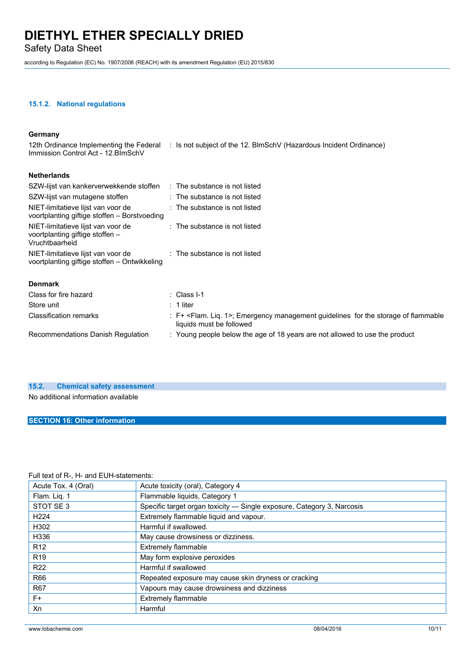Safety Data Sheet

according to Regulation (EC) No. 1907/2006 (REACH) with its amendment Regulation (EU) 2015/830

#### **15.1.2. National regulations**

#### **Germany**

| Immission Control Act - 12. BlmSchV                                                     | 12th Ordinance Implementing the Federal : Is not subject of the 12. BlmSchV (Hazardous Incident Ordinance)                   |
|-----------------------------------------------------------------------------------------|------------------------------------------------------------------------------------------------------------------------------|
| <b>Netherlands</b>                                                                      |                                                                                                                              |
| SZW-lijst van kankerverwekkende stoffen : The substance is not listed                   |                                                                                                                              |
| SZW-lijst van mutagene stoffen                                                          | : The substance is not listed                                                                                                |
| NIET-limitatieve lijst van voor de<br>voortplanting giftige stoffen - Borstvoeding      | : The substance is not listed                                                                                                |
| NIET-limitatieve lijst van voor de<br>voortplanting giftige stoffen -<br>Vruchtbaarheid | : The substance is not listed                                                                                                |
| NIET-limitatieve lijst van voor de<br>voortplanting giftige stoffen – Ontwikkeling      | : The substance is not listed                                                                                                |
| <b>Denmark</b>                                                                          |                                                                                                                              |
| Class for fire hazard                                                                   | $\therefore$ Class I-1                                                                                                       |
| Store unit                                                                              | $: 1$ liter                                                                                                                  |
| <b>Classification remarks</b>                                                           | : F+ <flam. 1="" lig.="">; Emergency management guidelines for the storage of flammable<br/>liquids must be followed</flam.> |
| Recommendations Danish Regulation                                                       | : Young people below the age of 18 years are not allowed to use the product                                                  |
|                                                                                         |                                                                                                                              |

### **15.2. Chemical safety assessment**

No additional information available

#### **SECTION 16: Other information**

#### Full text of R-, H- and EUH-statements:

| Acute Tox. 4 (Oral) | Acute toxicity (oral), Category 4                                      |  |
|---------------------|------------------------------------------------------------------------|--|
| Flam. Lig. 1        | Flammable liquids, Category 1                                          |  |
| STOT SE 3           | Specific target organ toxicity - Single exposure, Category 3, Narcosis |  |
| H <sub>224</sub>    | Extremely flammable liquid and vapour.                                 |  |
| H302                | Harmful if swallowed.                                                  |  |
| H336                | May cause drowsiness or dizziness.                                     |  |
| R <sub>12</sub>     | <b>Extremely flammable</b>                                             |  |
| R <sub>19</sub>     | May form explosive peroxides                                           |  |
| R <sub>22</sub>     | Harmful if swallowed                                                   |  |
| R66                 | Repeated exposure may cause skin dryness or cracking                   |  |
| <b>R67</b>          | Vapours may cause drowsiness and dizziness                             |  |
| $F+$                | Extremely flammable                                                    |  |
| Xn                  | Harmful                                                                |  |